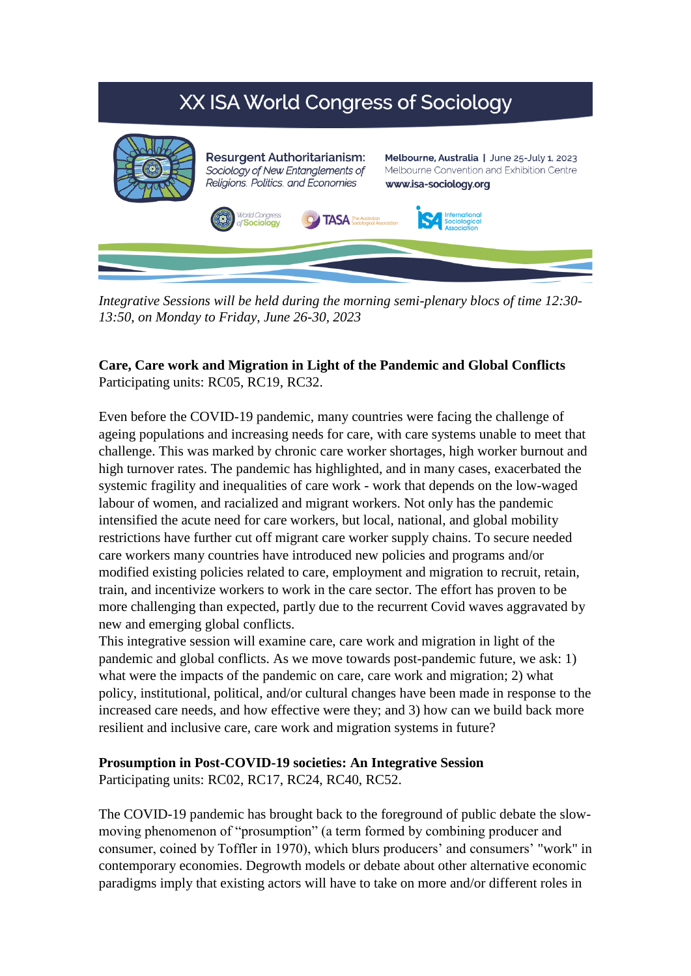# XX ISA World Congress of Sociology



*Integrative Sessions will be held during the morning semi-plenary blocs of time 12:30- 13:50, on Monday to Friday, June 26-30, 2023*

## **Care, Care work and Migration in Light of the Pandemic and Global Conflicts** Participating units: RC05, RC19, RC32.

Even before the COVID-19 pandemic, many countries were facing the challenge of ageing populations and increasing needs for care, with care systems unable to meet that challenge. This was marked by chronic care worker shortages, high worker burnout and high turnover rates. The pandemic has highlighted, and in many cases, exacerbated the systemic fragility and inequalities of care work - work that depends on the low-waged labour of women, and racialized and migrant workers. Not only has the pandemic intensified the acute need for care workers, but local, national, and global mobility restrictions have further cut off migrant care worker supply chains. To secure needed care workers many countries have introduced new policies and programs and/or modified existing policies related to care, employment and migration to recruit, retain, train, and incentivize workers to work in the care sector. The effort has proven to be more challenging than expected, partly due to the recurrent Covid waves aggravated by new and emerging global conflicts.

This integrative session will examine care, care work and migration in light of the pandemic and global conflicts. As we move towards post-pandemic future, we ask: 1) what were the impacts of the pandemic on care, care work and migration; 2) what policy, institutional, political, and/or cultural changes have been made in response to the increased care needs, and how effective were they; and 3) how can we build back more resilient and inclusive care, care work and migration systems in future?

#### **Prosumption in Post-COVID-19 societies: An Integrative Session**

Participating units: RC02, RC17, RC24, RC40, RC52.

The COVID-19 pandemic has brought back to the foreground of public debate the slowmoving phenomenon of "prosumption" (a term formed by combining producer and consumer, coined by Toffler in 1970), which blurs producers' and consumers' "work" in contemporary economies. Degrowth models or debate about other alternative economic paradigms imply that existing actors will have to take on more and/or different roles in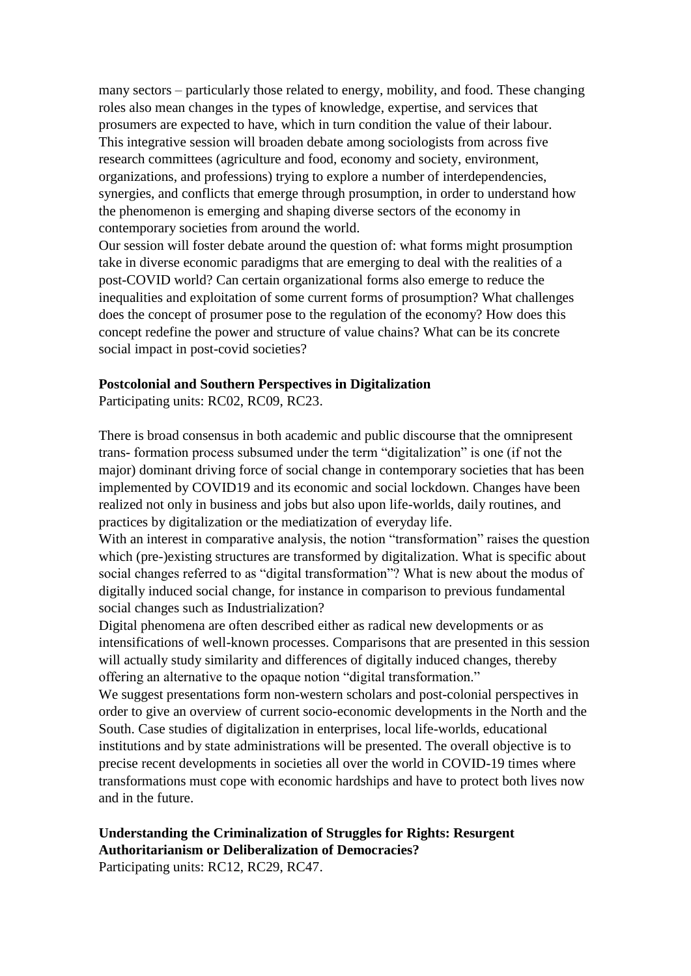many sectors – particularly those related to energy, mobility, and food. These changing roles also mean changes in the types of knowledge, expertise, and services that prosumers are expected to have, which in turn condition the value of their labour. This integrative session will broaden debate among sociologists from across five research committees (agriculture and food, economy and society, environment, organizations, and professions) trying to explore a number of interdependencies, synergies, and conflicts that emerge through prosumption, in order to understand how the phenomenon is emerging and shaping diverse sectors of the economy in contemporary societies from around the world.

Our session will foster debate around the question of: what forms might prosumption take in diverse economic paradigms that are emerging to deal with the realities of a post-COVID world? Can certain organizational forms also emerge to reduce the inequalities and exploitation of some current forms of prosumption? What challenges does the concept of prosumer pose to the regulation of the economy? How does this concept redefine the power and structure of value chains? What can be its concrete social impact in post-covid societies?

#### **Postcolonial and Southern Perspectives in Digitalization**

Participating units: RC02, RC09, RC23.

There is broad consensus in both academic and public discourse that the omnipresent trans- formation process subsumed under the term "digitalization" is one (if not the major) dominant driving force of social change in contemporary societies that has been implemented by COVID19 and its economic and social lockdown. Changes have been realized not only in business and jobs but also upon life-worlds, daily routines, and practices by digitalization or the mediatization of everyday life.

With an interest in comparative analysis, the notion "transformation" raises the question which (pre-)existing structures are transformed by digitalization. What is specific about social changes referred to as "digital transformation"? What is new about the modus of digitally induced social change, for instance in comparison to previous fundamental social changes such as Industrialization?

Digital phenomena are often described either as radical new developments or as intensifications of well-known processes. Comparisons that are presented in this session will actually study similarity and differences of digitally induced changes, thereby offering an alternative to the opaque notion "digital transformation."

We suggest presentations form non-western scholars and post-colonial perspectives in order to give an overview of current socio-economic developments in the North and the South. Case studies of digitalization in enterprises, local life-worlds, educational institutions and by state administrations will be presented. The overall objective is to precise recent developments in societies all over the world in COVID-19 times where transformations must cope with economic hardships and have to protect both lives now and in the future.

#### **Understanding the Criminalization of Struggles for Rights: Resurgent Authoritarianism or Deliberalization of Democracies?** Participating units: RC12, RC29, RC47.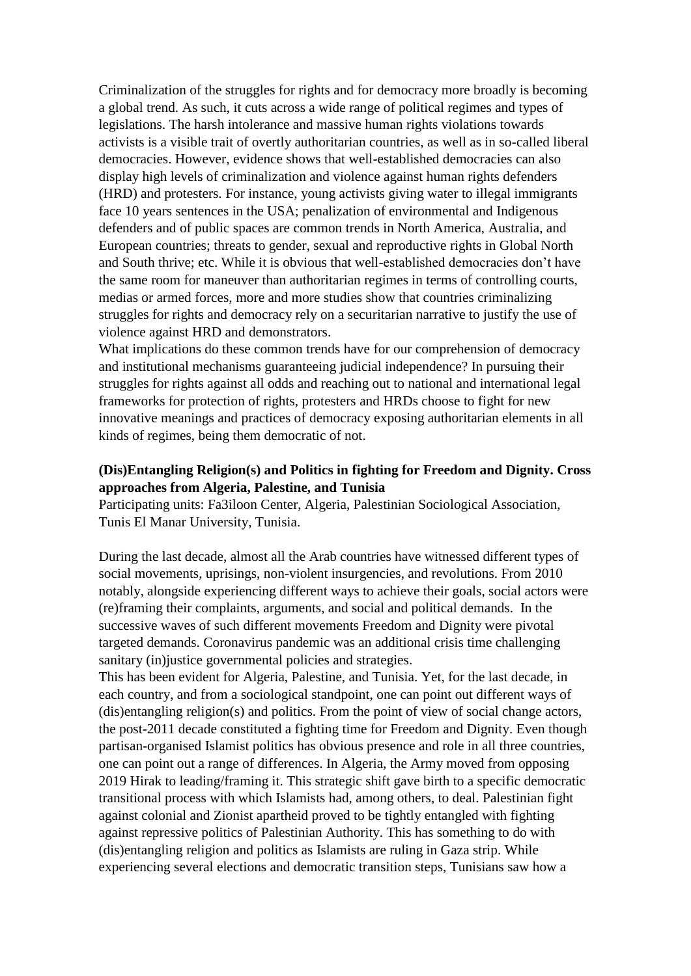Criminalization of the struggles for rights and for democracy more broadly is becoming a global trend. As such, it cuts across a wide range of political regimes and types of legislations. The harsh intolerance and massive human rights violations towards activists is a visible trait of overtly authoritarian countries, as well as in so-called liberal democracies. However, evidence shows that well-established democracies can also display high levels of criminalization and violence against human rights defenders (HRD) and protesters. For instance, young activists giving water to illegal immigrants face 10 years sentences in the USA; penalization of environmental and Indigenous defenders and of public spaces are common trends in North America, Australia, and European countries; threats to gender, sexual and reproductive rights in Global North and South thrive; etc. While it is obvious that well-established democracies don't have the same room for maneuver than authoritarian regimes in terms of controlling courts, medias or armed forces, more and more studies show that countries criminalizing struggles for rights and democracy rely on a securitarian narrative to justify the use of violence against HRD and demonstrators.

What implications do these common trends have for our comprehension of democracy and institutional mechanisms guaranteeing judicial independence? In pursuing their struggles for rights against all odds and reaching out to national and international legal frameworks for protection of rights, protesters and HRDs choose to fight for new innovative meanings and practices of democracy exposing authoritarian elements in all kinds of regimes, being them democratic of not.

# **(Dis)Entangling Religion(s) and Politics in fighting for Freedom and Dignity. Cross approaches from Algeria, Palestine, and Tunisia**

Participating units: Fa3iloon Center, Algeria, Palestinian Sociological Association, Tunis El Manar University, Tunisia.

During the last decade, almost all the Arab countries have witnessed different types of social movements, uprisings, non-violent insurgencies, and revolutions. From 2010 notably, alongside experiencing different ways to achieve their goals, social actors were (re)framing their complaints, arguments, and social and political demands. In the successive waves of such different movements Freedom and Dignity were pivotal targeted demands. Coronavirus pandemic was an additional crisis time challenging sanitary (in) justice governmental policies and strategies.

This has been evident for Algeria, Palestine, and Tunisia. Yet, for the last decade, in each country, and from a sociological standpoint, one can point out different ways of (dis)entangling religion(s) and politics. From the point of view of social change actors, the post-2011 decade constituted a fighting time for Freedom and Dignity. Even though partisan-organised Islamist politics has obvious presence and role in all three countries, one can point out a range of differences. In Algeria, the Army moved from opposing 2019 Hirak to leading/framing it. This strategic shift gave birth to a specific democratic transitional process with which Islamists had, among others, to deal. Palestinian fight against colonial and Zionist apartheid proved to be tightly entangled with fighting against repressive politics of Palestinian Authority. This has something to do with (dis)entangling religion and politics as Islamists are ruling in Gaza strip. While experiencing several elections and democratic transition steps, Tunisians saw how a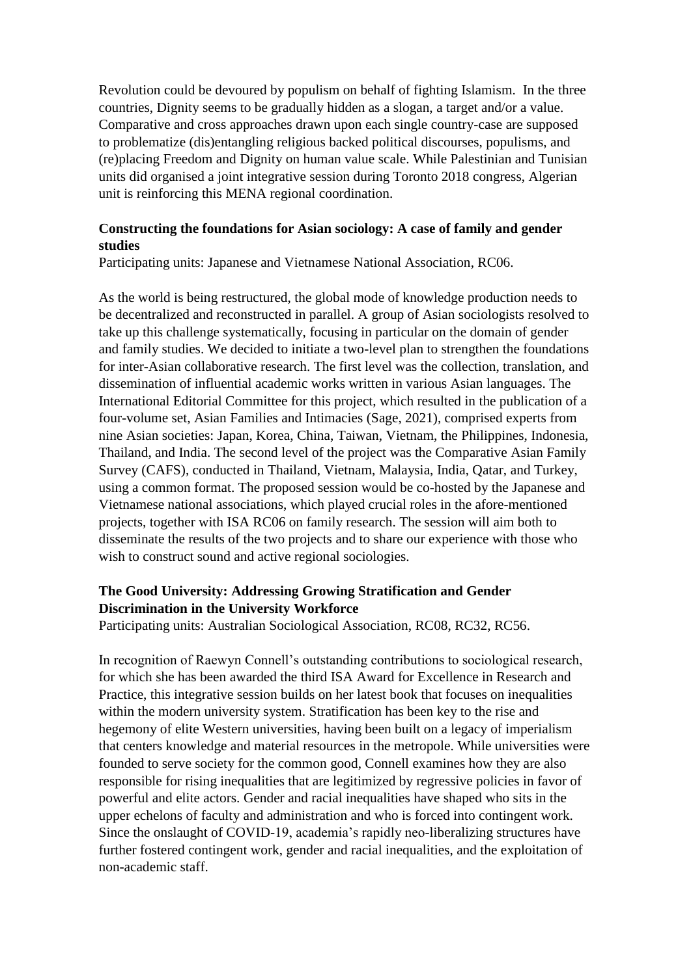Revolution could be devoured by populism on behalf of fighting Islamism. In the three countries, Dignity seems to be gradually hidden as a slogan, a target and/or a value. Comparative and cross approaches drawn upon each single country-case are supposed to problematize (dis)entangling religious backed political discourses, populisms, and (re)placing Freedom and Dignity on human value scale. While Palestinian and Tunisian units did organised a joint integrative session during Toronto 2018 congress, Algerian unit is reinforcing this MENA regional coordination.

# **Constructing the foundations for Asian sociology: A case of family and gender studies**

Participating units: Japanese and Vietnamese National Association, RC06.

As the world is being restructured, the global mode of knowledge production needs to be decentralized and reconstructed in parallel. A group of Asian sociologists resolved to take up this challenge systematically, focusing in particular on the domain of gender and family studies. We decided to initiate a two-level plan to strengthen the foundations for inter-Asian collaborative research. The first level was the collection, translation, and dissemination of influential academic works written in various Asian languages. The International Editorial Committee for this project, which resulted in the publication of a four-volume set, Asian Families and Intimacies (Sage, 2021), comprised experts from nine Asian societies: Japan, Korea, China, Taiwan, Vietnam, the Philippines, Indonesia, Thailand, and India. The second level of the project was the Comparative Asian Family Survey (CAFS), conducted in Thailand, Vietnam, Malaysia, India, Qatar, and Turkey, using a common format. The proposed session would be co-hosted by the Japanese and Vietnamese national associations, which played crucial roles in the afore-mentioned projects, together with ISA RC06 on family research. The session will aim both to disseminate the results of the two projects and to share our experience with those who wish to construct sound and active regional sociologies.

# **The Good University: Addressing Growing Stratification and Gender Discrimination in the University Workforce**

Participating units: Australian Sociological Association, RC08, RC32, RC56.

In recognition of Raewyn Connell's outstanding contributions to sociological research, for which she has been awarded the third ISA Award for Excellence in Research and Practice, this integrative session builds on her latest book that focuses on inequalities within the modern university system. Stratification has been key to the rise and hegemony of elite Western universities, having been built on a legacy of imperialism that centers knowledge and material resources in the metropole. While universities were founded to serve society for the common good, Connell examines how they are also responsible for rising inequalities that are legitimized by regressive policies in favor of powerful and elite actors. Gender and racial inequalities have shaped who sits in the upper echelons of faculty and administration and who is forced into contingent work. Since the onslaught of COVID-19, academia's rapidly neo-liberalizing structures have further fostered contingent work, gender and racial inequalities, and the exploitation of non-academic staff.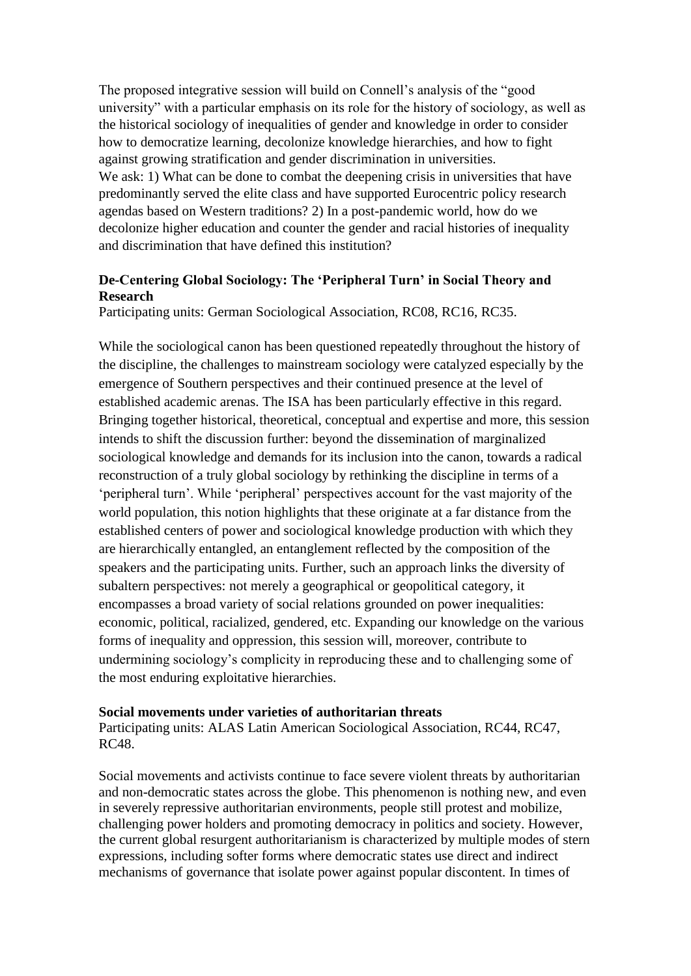The proposed integrative session will build on Connell's analysis of the "good university" with a particular emphasis on its role for the history of sociology, as well as the historical sociology of inequalities of gender and knowledge in order to consider how to democratize learning, decolonize knowledge hierarchies, and how to fight against growing stratification and gender discrimination in universities. We ask: 1) What can be done to combat the deepening crisis in universities that have predominantly served the elite class and have supported Eurocentric policy research agendas based on Western traditions? 2) In a post-pandemic world, how do we decolonize higher education and counter the gender and racial histories of inequality and discrimination that have defined this institution?

## **De-Centering Global Sociology: The 'Peripheral Turn' in Social Theory and Research**

Participating units: German Sociological Association, RC08, RC16, RC35.

While the sociological canon has been questioned repeatedly throughout the history of the discipline, the challenges to mainstream sociology were catalyzed especially by the emergence of Southern perspectives and their continued presence at the level of established academic arenas. The ISA has been particularly effective in this regard. Bringing together historical, theoretical, conceptual and expertise and more, this session intends to shift the discussion further: beyond the dissemination of marginalized sociological knowledge and demands for its inclusion into the canon, towards a radical reconstruction of a truly global sociology by rethinking the discipline in terms of a 'peripheral turn'. While 'peripheral' perspectives account for the vast majority of the world population, this notion highlights that these originate at a far distance from the established centers of power and sociological knowledge production with which they are hierarchically entangled, an entanglement reflected by the composition of the speakers and the participating units. Further, such an approach links the diversity of subaltern perspectives: not merely a geographical or geopolitical category, it encompasses a broad variety of social relations grounded on power inequalities: economic, political, racialized, gendered, etc. Expanding our knowledge on the various forms of inequality and oppression, this session will, moreover, contribute to undermining sociology's complicity in reproducing these and to challenging some of the most enduring exploitative hierarchies.

#### **Social movements under varieties of authoritarian threats**

Participating units: ALAS Latin American Sociological Association, RC44, RC47, RC48.

Social movements and activists continue to face severe violent threats by authoritarian and non-democratic states across the globe. This phenomenon is nothing new, and even in severely repressive authoritarian environments, people still protest and mobilize, challenging power holders and promoting democracy in politics and society. However, the current global resurgent authoritarianism is characterized by multiple modes of stern expressions, including softer forms where democratic states use direct and indirect mechanisms of governance that isolate power against popular discontent. In times of